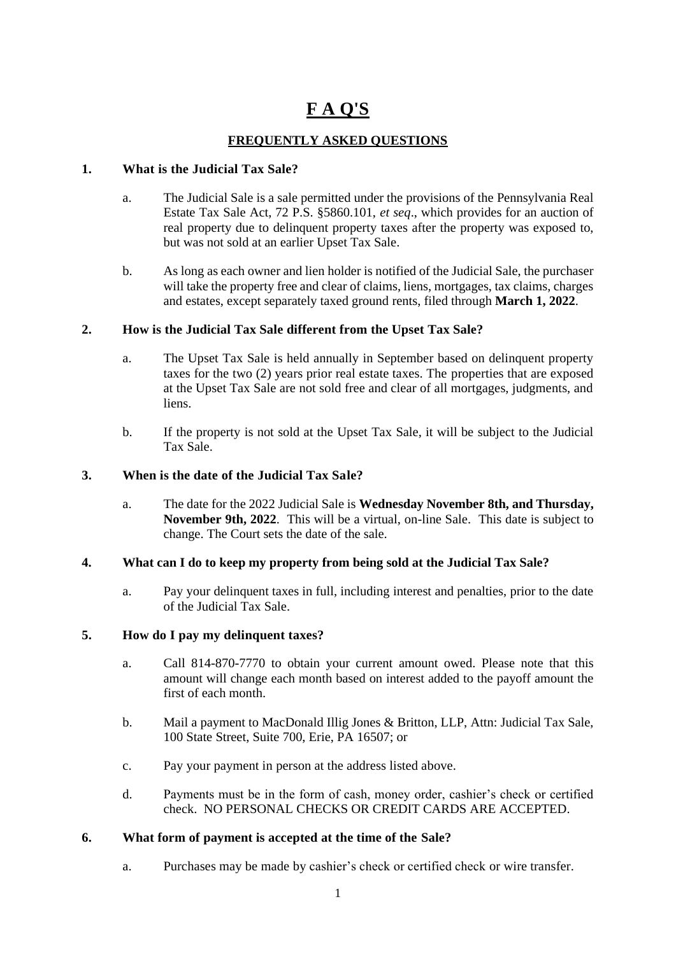# **F A Q'S**

# **FREQUENTLY ASKED QUESTIONS**

## **1. What is the Judicial Tax Sale?**

- a. The Judicial Sale is a sale permitted under the provisions of the Pennsylvania Real Estate Tax Sale Act, 72 P.S. §5860.101, *et seq*., which provides for an auction of real property due to delinquent property taxes after the property was exposed to, but was not sold at an earlier Upset Tax Sale.
- b. As long as each owner and lien holder is notified of the Judicial Sale, the purchaser will take the property free and clear of claims, liens, mortgages, tax claims, charges and estates, except separately taxed ground rents, filed through **March 1, 2022**.

# **2. How is the Judicial Tax Sale different from the Upset Tax Sale?**

- a. The Upset Tax Sale is held annually in September based on delinquent property taxes for the two (2) years prior real estate taxes. The properties that are exposed at the Upset Tax Sale are not sold free and clear of all mortgages, judgments, and liens.
- b. If the property is not sold at the Upset Tax Sale, it will be subject to the Judicial Tax Sale.

## **3. When is the date of the Judicial Tax Sale?**

a. The date for the 2022 Judicial Sale is **Wednesday November 8th, and Thursday, November 9th, 2022**. This will be a virtual, on-line Sale. This date is subject to change. The Court sets the date of the sale.

#### **4. What can I do to keep my property from being sold at the Judicial Tax Sale?**

a. Pay your delinquent taxes in full, including interest and penalties, prior to the date of the Judicial Tax Sale.

#### **5. How do I pay my delinquent taxes?**

- a. Call 814-870-7770 to obtain your current amount owed. Please note that this amount will change each month based on interest added to the payoff amount the first of each month.
- b. Mail a payment to MacDonald Illig Jones & Britton, LLP, Attn: Judicial Tax Sale, 100 State Street, Suite 700, Erie, PA 16507; or
- c. Pay your payment in person at the address listed above.
- d. Payments must be in the form of cash, money order, cashier's check or certified check. NO PERSONAL CHECKS OR CREDIT CARDS ARE ACCEPTED.

#### **6. What form of payment is accepted at the time of the Sale?**

a. Purchases may be made by cashier's check or certified check or wire transfer.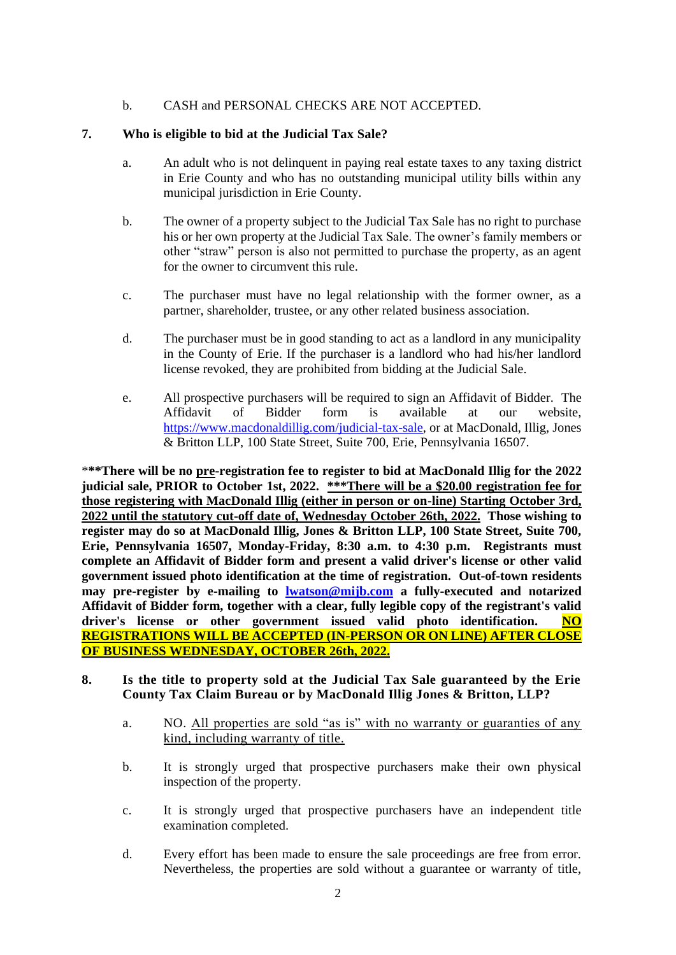## b. CASH and PERSONAL CHECKS ARE NOT ACCEPTED.

## **7. Who is eligible to bid at the Judicial Tax Sale?**

- a. An adult who is not delinquent in paying real estate taxes to any taxing district in Erie County and who has no outstanding municipal utility bills within any municipal jurisdiction in Erie County.
- b. The owner of a property subject to the Judicial Tax Sale has no right to purchase his or her own property at the Judicial Tax Sale. The owner's family members or other "straw" person is also not permitted to purchase the property, as an agent for the owner to circumvent this rule.
- c. The purchaser must have no legal relationship with the former owner, as a partner, shareholder, trustee, or any other related business association.
- d. The purchaser must be in good standing to act as a landlord in any municipality in the County of Erie. If the purchaser is a landlord who had his/her landlord license revoked, they are prohibited from bidding at the Judicial Sale.
- e. All prospective purchasers will be required to sign an Affidavit of Bidder. The Affidavit of Bidder form is available at our website, <https://www.macdonaldillig.com/>judicial-tax-sale, or at MacDonald, Illig, Jones & Britton LLP, 100 State Street, Suite 700, Erie, Pennsylvania 16507.

\***\*\*There will be no pre-registration fee to register to bid at MacDonald Illig for the 2022 judicial sale, PRIOR to October 1st, 2022. \*\*\*There will be a \$20.00 registration fee for those registering with MacDonald Illig (either in person or on-line) Starting October 3rd, 2022 until the statutory cut-off date of, Wednesday October 26th, 2022. Those wishing to register may do so at MacDonald Illig, Jones & Britton LLP, 100 State Street, Suite 700, Erie, Pennsylvania 16507, Monday-Friday, 8:30 a.m. to 4:30 p.m. Registrants must complete an Affidavit of Bidder form and present a valid driver's license or other valid government issued photo identification at the time of registration. Out-of-town residents may pre-register by e-mailing to lwatson@mijb.com a fully-executed and notarized Affidavit of Bidder form, together with a clear, fully legible copy of the registrant's valid driver's license or other government issued valid photo identification. NO REGISTRATIONS WILL BE ACCEPTED (IN-PERSON OR ON LINE) AFTER CLOSE OF BUSINESS WEDNESDAY, OCTOBER 26th, 2022.**

- **8. Is the title to property sold at the Judicial Tax Sale guaranteed by the Erie County Tax Claim Bureau or by MacDonald Illig Jones & Britton, LLP?**
	- a. NO. All properties are sold "as is" with no warranty or guaranties of any kind, including warranty of title.
	- b. It is strongly urged that prospective purchasers make their own physical inspection of the property.
	- c. It is strongly urged that prospective purchasers have an independent title examination completed.
	- d. Every effort has been made to ensure the sale proceedings are free from error. Nevertheless, the properties are sold without a guarantee or warranty of title,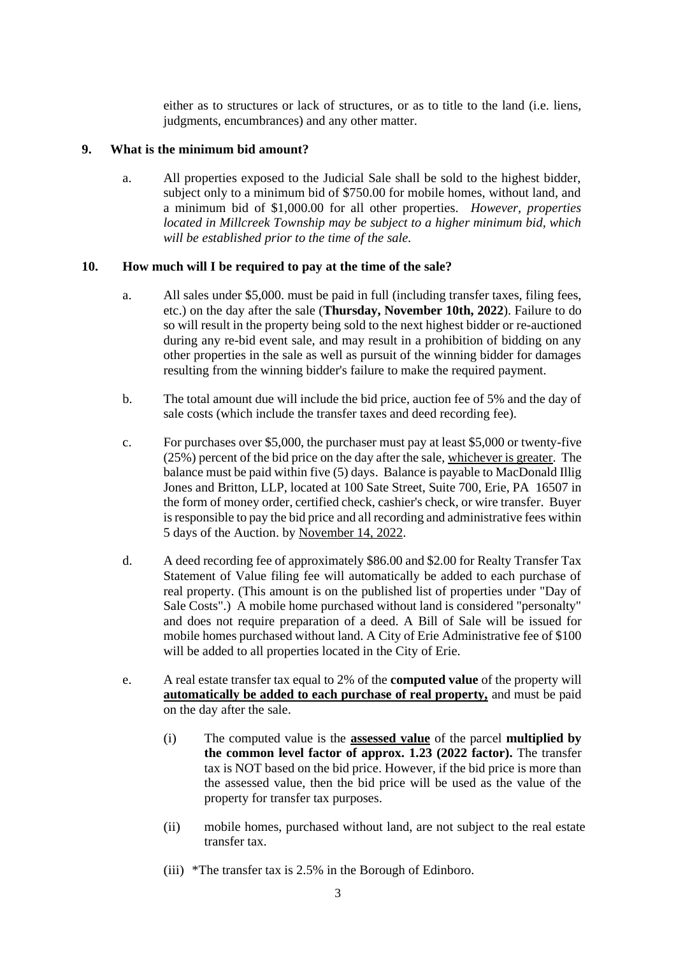either as to structures or lack of structures, or as to title to the land (i.e. liens, judgments, encumbrances) and any other matter.

#### **9. What is the minimum bid amount?**

a. All properties exposed to the Judicial Sale shall be sold to the highest bidder, subject only to a minimum bid of \$750.00 for mobile homes, without land, and a minimum bid of \$1,000.00 for all other properties. *However, properties located in Millcreek Township may be subject to a higher minimum bid, which will be established prior to the time of the sale.*

#### **10. How much will I be required to pay at the time of the sale?**

- a. All sales under \$5,000. must be paid in full (including transfer taxes, filing fees, etc.) on the day after the sale (**Thursday, November 10th, 2022**). Failure to do so will result in the property being sold to the next highest bidder or re-auctioned during any re-bid event sale, and may result in a prohibition of bidding on any other properties in the sale as well as pursuit of the winning bidder for damages resulting from the winning bidder's failure to make the required payment.
- b. The total amount due will include the bid price, auction fee of 5% and the day of sale costs (which include the transfer taxes and deed recording fee).
- c. For purchases over \$5,000, the purchaser must pay at least \$5,000 or twenty-five (25%) percent of the bid price on the day after the sale, whichever is greater. The balance must be paid within five (5) days. Balance is payable to MacDonald Illig Jones and Britton, LLP, located at 100 Sate Street, Suite 700, Erie, PA 16507 in the form of money order, certified check, cashier's check, or wire transfer. Buyer is responsible to pay the bid price and all recording and administrative fees within 5 days of the Auction. by November 14, 2022.
- d. A deed recording fee of approximately \$86.00 and \$2.00 for Realty Transfer Tax Statement of Value filing fee will automatically be added to each purchase of real property. (This amount is on the published list of properties under "Day of Sale Costs".) A mobile home purchased without land is considered "personalty" and does not require preparation of a deed. A Bill of Sale will be issued for mobile homes purchased without land. A City of Erie Administrative fee of \$100 will be added to all properties located in the City of Erie.
- e. A real estate transfer tax equal to 2% of the **computed value** of the property will **automatically be added to each purchase of real property,** and must be paid on the day after the sale.
	- (i) The computed value is the **assessed value** of the parcel **multiplied by the common level factor of approx. 1.23 (2022 factor).** The transfer tax is NOT based on the bid price. However, if the bid price is more than the assessed value, then the bid price will be used as the value of the property for transfer tax purposes.
	- (ii) mobile homes, purchased without land, are not subject to the real estate transfer tax.
	- (iii) \*The transfer tax is 2.5% in the Borough of Edinboro.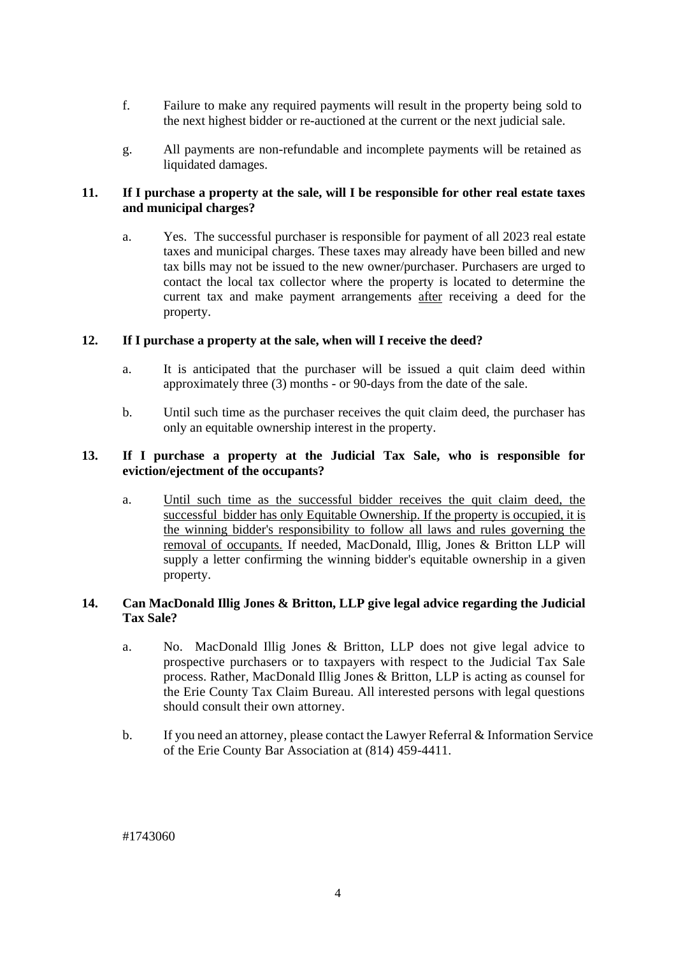- f. Failure to make any required payments will result in the property being sold to the next highest bidder or re-auctioned at the current or the next judicial sale.
- g. All payments are non-refundable and incomplete payments will be retained as liquidated damages.

#### **11. If I purchase a property at the sale, will I be responsible for other real estate taxes and municipal charges?**

a. Yes. The successful purchaser is responsible for payment of all 2023 real estate taxes and municipal charges. These taxes may already have been billed and new tax bills may not be issued to the new owner/purchaser. Purchasers are urged to contact the local tax collector where the property is located to determine the current tax and make payment arrangements after receiving a deed for the property.

#### **12. If I purchase a property at the sale, when will I receive the deed?**

- a. It is anticipated that the purchaser will be issued a quit claim deed within approximately three (3) months - or 90-days from the date of the sale.
- b. Until such time as the purchaser receives the quit claim deed, the purchaser has only an equitable ownership interest in the property.

#### **13. If I purchase a property at the Judicial Tax Sale, who is responsible for eviction/ejectment of the occupants?**

a. Until such time as the successful bidder receives the quit claim deed, the successful bidder has only Equitable Ownership. If the property is occupied, it is the winning bidder's responsibility to follow all laws and rules governing the removal of occupants. If needed, MacDonald, Illig, Jones & Britton LLP will supply a letter confirming the winning bidder's equitable ownership in a given property.

#### **14. Can MacDonald Illig Jones & Britton, LLP give legal advice regarding the Judicial Tax Sale?**

- a. No. MacDonald Illig Jones & Britton, LLP does not give legal advice to prospective purchasers or to taxpayers with respect to the Judicial Tax Sale process. Rather, MacDonald Illig Jones & Britton, LLP is acting as counsel for the Erie County Tax Claim Bureau. All interested persons with legal questions should consult their own attorney.
- b. If you need an attorney, please contact the Lawyer Referral & Information Service of the Erie County Bar Association at (814) 459-4411.

#1743060